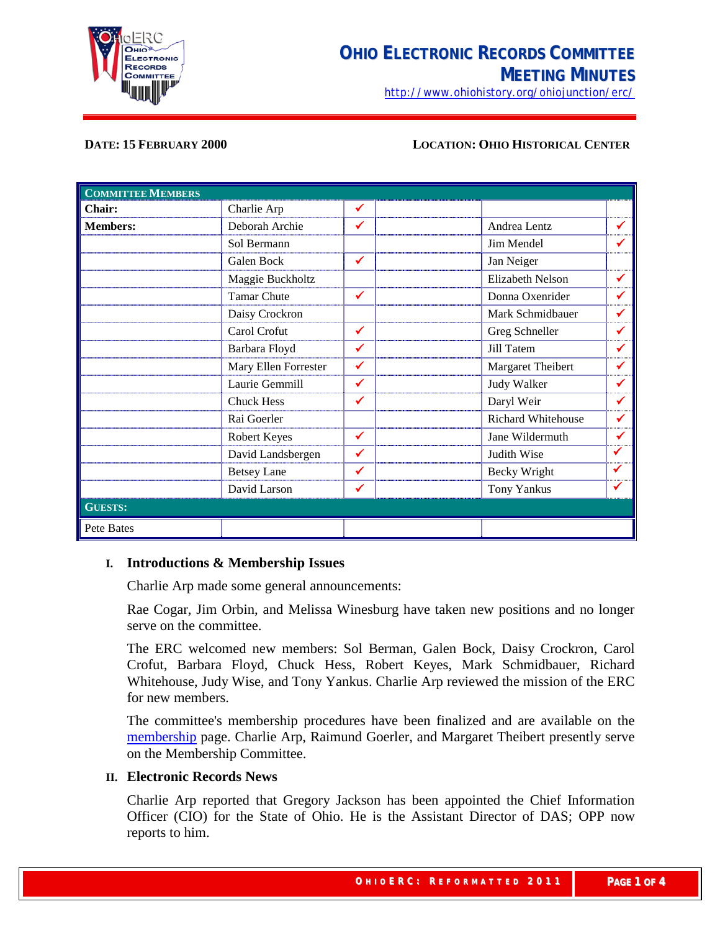

<http://www.ohiohistory.org/ohiojunction/erc/>

#### **DATE: 15 FEBRUARY 2000 LOCATION: OHIO HISTORICAL CENTER**

| <b>COMMITTEE MEMBERS</b> |                      |              |                     |              |
|--------------------------|----------------------|--------------|---------------------|--------------|
| Chair:                   | Charlie Arp          | $\checkmark$ |                     |              |
| <b>Members:</b>          | Deborah Archie       | ✓            | Andrea Lentz        |              |
|                          | Sol Bermann          |              | Jim Mendel          |              |
|                          | Galen Bock           | $\checkmark$ | Jan Neiger          |              |
|                          | Maggie Buckholtz     |              | Elizabeth Nelson    |              |
|                          | <b>Tamar Chute</b>   | $\checkmark$ | Donna Oxenrider     | ✔            |
|                          | Daisy Crockron       |              | Mark Schmidbauer    |              |
|                          | Carol Crofut         | $\checkmark$ | Greg Schneller      |              |
|                          | Barbara Floyd        | ✔            | Jill Tatem          | ✔            |
|                          | Mary Ellen Forrester | ✓            | Margaret Theibert   |              |
|                          | Laurie Gemmill       | $\checkmark$ | Judy Walker         |              |
|                          | <b>Chuck Hess</b>    | $\checkmark$ | Daryl Weir          | ✔            |
|                          | Rai Goerler          |              | Richard Whitehouse  | ✔            |
|                          | Robert Keyes         | $\checkmark$ | Jane Wildermuth     |              |
|                          | David Landsbergen    | $\checkmark$ | Judith Wise         |              |
|                          | <b>Betsey Lane</b>   | ✓            | <b>Becky Wright</b> | ✔            |
|                          | David Larson         | ✔            | <b>Tony Yankus</b>  | $\checkmark$ |
| <b>GUESTS:</b>           |                      |              |                     |              |
| Pete Bates               |                      |              |                     |              |

### **I. Introductions & Membership Issues**

Charlie Arp made some general announcements:

Rae Cogar, Jim Orbin, and Melissa Winesburg have taken new positions and no longer serve on the committee.

The ERC welcomed new members: Sol Berman, Galen Bock, Daisy Crockron, Carol Crofut, Barbara Floyd, Chuck Hess, Robert Keyes, Mark Schmidbauer, Richard Whitehouse, Judy Wise, and Tony Yankus. Charlie Arp reviewed the mission of the ERC for new members.

The committee's membership procedures have been finalized and are available on the [membership](http://www.ohiohistoryhost.org/ERC/members.html) page. Charlie Arp, Raimund Goerler, and Margaret Theibert presently serve on the Membership Committee.

## **II. Electronic Records News**

Charlie Arp reported that Gregory Jackson has been appointed the Chief Information Officer (CIO) for the State of Ohio. He is the Assistant Director of DAS; OPP now reports to him.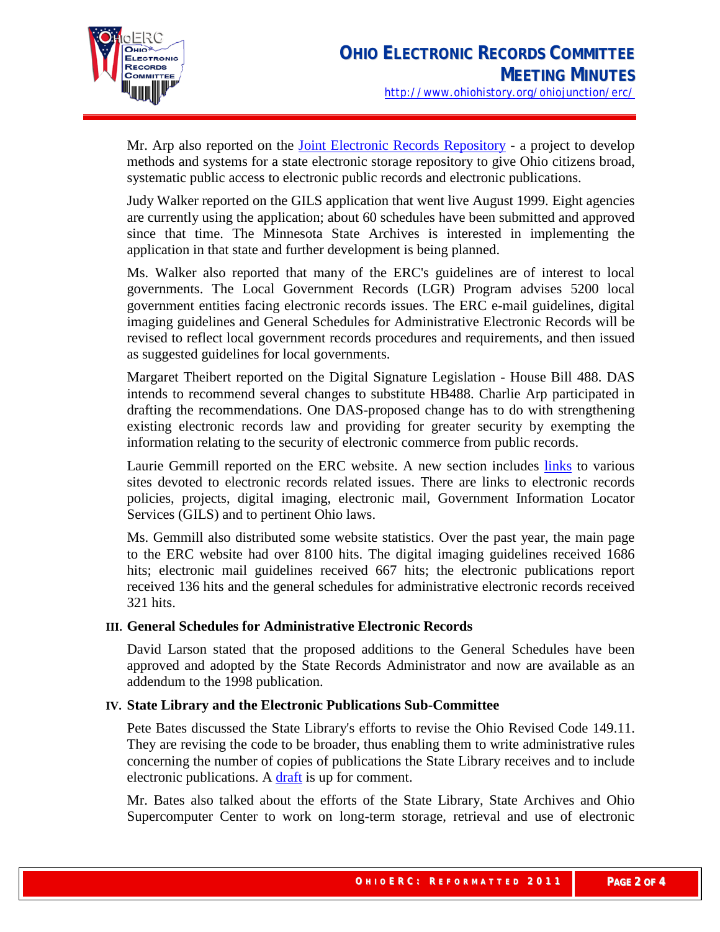

Mr. Arp also reported on the [Joint Electronic Records Repository](http://www.state.oh.us/das/dcs/opp/jointrepository.htm) - a project to develop methods and systems for a state electronic storage repository to give Ohio citizens broad, systematic public access to electronic public records and electronic publications.

Judy Walker reported on the GILS application that went live August 1999. Eight agencies are currently using the application; about 60 schedules have been submitted and approved since that time. The Minnesota State Archives is interested in implementing the application in that state and further development is being planned.

Ms. Walker also reported that many of the ERC's guidelines are of interest to local governments. The Local Government Records (LGR) Program advises 5200 local government entities facing electronic records issues. The ERC e-mail guidelines, digital imaging guidelines and General Schedules for Administrative Electronic Records will be revised to reflect local government records procedures and requirements, and then issued as suggested guidelines for local governments.

Margaret Theibert reported on the Digital Signature Legislation - House Bill 488. DAS intends to recommend several changes to substitute HB488. Charlie Arp participated in drafting the recommendations. One DAS-proposed change has to do with strengthening existing electronic records law and providing for greater security by exempting the information relating to the security of electronic commerce from public records.

Laurie Gemmill reported on the ERC website. A new section includes [links](http://www.ohiohistoryhost.org/ERC/links.html) to various sites devoted to electronic records related issues. There are links to electronic records policies, projects, digital imaging, electronic mail, Government Information Locator Services (GILS) and to pertinent Ohio laws.

Ms. Gemmill also distributed some website statistics. Over the past year, the main page to the ERC website had over 8100 hits. The digital imaging guidelines received 1686 hits; electronic mail guidelines received 667 hits; the electronic publications report received 136 hits and the general schedules for administrative electronic records received 321 hits.

# **III. General Schedules for Administrative Electronic Records**

David Larson stated that the proposed additions to the General Schedules have been approved and adopted by the State Records Administrator and now are available as an addendum to the 1998 publication.

# **IV. State Library and the Electronic Publications Sub-Committee**

Pete Bates discussed the State Library's efforts to revise the Ohio Revised Code 149.11. They are revising the code to be broader, thus enabling them to write administrative rules concerning the number of copies of publications the State Library receives and to include electronic publications. A [draft](http://winslo.state.oh.us/govinfo/149intro.html) is up for comment.

Mr. Bates also talked about the efforts of the State Library, State Archives and Ohio Supercomputer Center to work on long-term storage, retrieval and use of electronic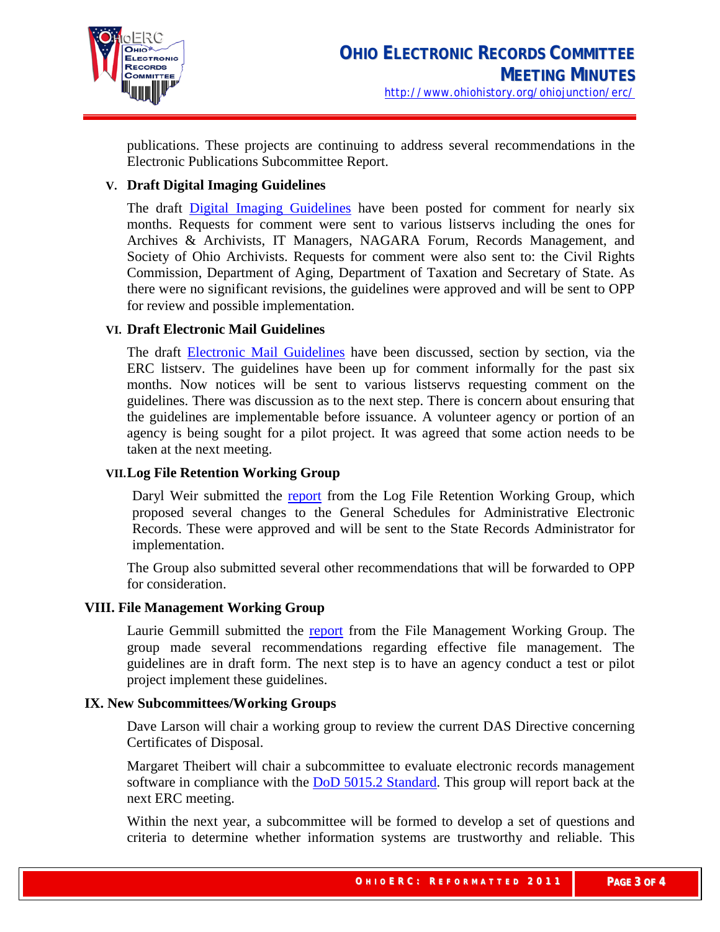

publications. These projects are continuing to address several recommendations in the Electronic Publications Subcommittee Report.

# **V. Draft Digital Imaging Guidelines**

The draft [Digital Imaging Guidelines](http://www.ohiohistoryhost.org/ERC/imaging/imagingguidelines.html) have been posted for comment for nearly six months. Requests for comment were sent to various listservs including the ones for Archives & Archivists, IT Managers, NAGARA Forum, Records Management, and Society of Ohio Archivists. Requests for comment were also sent to: the Civil Rights Commission, Department of Aging, Department of Taxation and Secretary of State. As there were no significant revisions, the guidelines were approved and will be sent to OPP for review and possible implementation.

## **VI. Draft Electronic Mail Guidelines**

The draft [Electronic Mail Guidelines](http://www.ohiohistoryhost.org/ERC/email/emailguidelines.html) have been discussed, section by section, via the ERC listserv. The guidelines have been up for comment informally for the past six months. Now notices will be sent to various listservs requesting comment on the guidelines. There was discussion as to the next step. There is concern about ensuring that the guidelines are implementable before issuance. A volunteer agency or portion of an agency is being sought for a pilot project. It was agreed that some action needs to be taken at the next meeting.

## **VII.Log File Retention Working Group**

Daryl Weir submitted the [report](http://www.ohiohistoryhost.org/ERC/logfile/logfilereport.html) from the Log File Retention Working Group, which proposed several changes to the General Schedules for Administrative Electronic Records. These were approved and will be sent to the State Records Administrator for implementation.

The Group also submitted several other recommendations that will be forwarded to OPP for consideration.

### **VIII. File Management Working Group**

Laurie Gemmill submitted the [report](http://www.ohiohistoryhost.org/ERC/filemanage/filemanagereport.html) from the File Management Working Group. The group made several recommendations regarding effective file management. The guidelines are in draft form. The next step is to have an agency conduct a test or pilot project implement these guidelines.

### **IX. New Subcommittees/Working Groups**

Dave Larson will chair a working group to review the current DAS Directive concerning Certificates of Disposal.

Margaret Theibert will chair a subcommittee to evaluate electronic records management software in compliance with the [DoD 5015.2 Standard.](http://jitc-emh.army.mil/recmgt/rma-ps/index.htm) This group will report back at the next ERC meeting.

Within the next year, a subcommittee will be formed to develop a set of questions and criteria to determine whether information systems are trustworthy and reliable. This